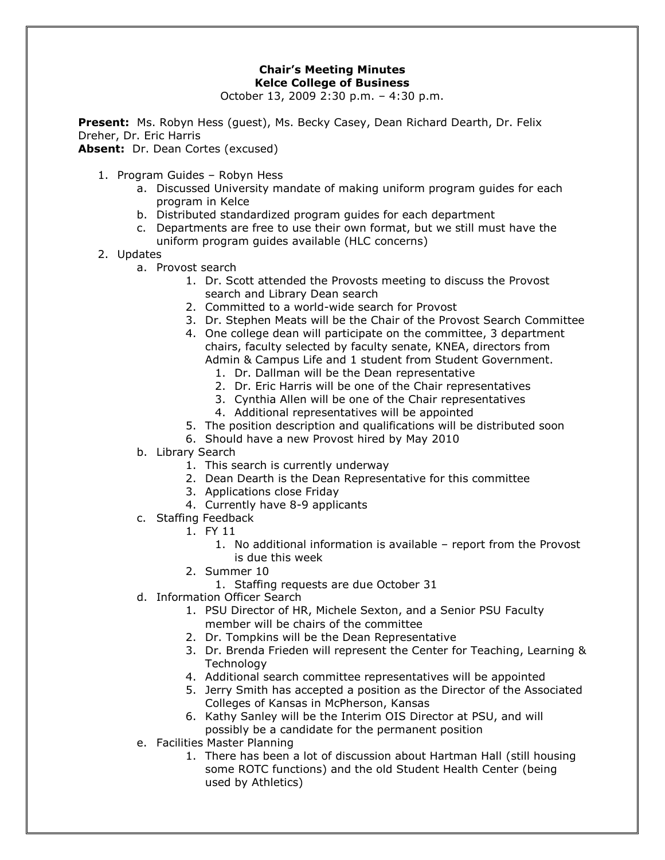## **Chair's Meeting Minutes Kelce College of Business**

October 13, 2009 2:30 p.m. – 4:30 p.m.

**Present:** Ms. Robyn Hess (guest), Ms. Becky Casey, Dean Richard Dearth, Dr. Felix Dreher, Dr. Eric Harris

Absent: Dr. Dean Cortes (excused)

- 1. Program Guides Robyn Hess
	- a. Discussed University mandate of making uniform program guides for each program in Kelce
	- b. Distributed standardized program guides for each department
	- c. Departments are free to use their own format, but we still must have the uniform program guides available (HLC concerns)
- 2. Updates
	- a. Provost search
		- 1. Dr. Scott attended the Provosts meeting to discuss the Provost search and Library Dean search
		- 2. Committed to a world-wide search for Provost
		- 3. Dr. Stephen Meats will be the Chair of the Provost Search Committee
		- 4. One college dean will participate on the committee, 3 department chairs, faculty selected by faculty senate, KNEA, directors from Admin & Campus Life and 1 student from Student Government.
			- 1. Dr. Dallman will be the Dean representative
			- 2. Dr. Eric Harris will be one of the Chair representatives
			- 3. Cynthia Allen will be one of the Chair representatives
			- 4. Additional representatives will be appointed
		- 5. The position description and qualifications will be distributed soon
		- 6. Should have a new Provost hired by May 2010
	- b. Library Search
		- 1. This search is currently underway
		- 2. Dean Dearth is the Dean Representative for this committee
		- 3. Applications close Friday
		- 4. Currently have 8-9 applicants
	- c. Staffing Feedback
		- 1. FY 11
			- 1. No additional information is available report from the Provost is due this week
			- 2. Summer 10
				- 1. Staffing requests are due October 31
	- d. Information Officer Search
		- 1. PSU Director of HR, Michele Sexton, and a Senior PSU Faculty member will be chairs of the committee
		- 2. Dr. Tompkins will be the Dean Representative
		- 3. Dr. Brenda Frieden will represent the Center for Teaching, Learning & **Technology**
		- 4. Additional search committee representatives will be appointed
		- 5. Jerry Smith has accepted a position as the Director of the Associated Colleges of Kansas in McPherson, Kansas
		- 6. Kathy Sanley will be the Interim OIS Director at PSU, and will possibly be a candidate for the permanent position
	- e. Facilities Master Planning
		- 1. There has been a lot of discussion about Hartman Hall (still housing some ROTC functions) and the old Student Health Center (being used by Athletics)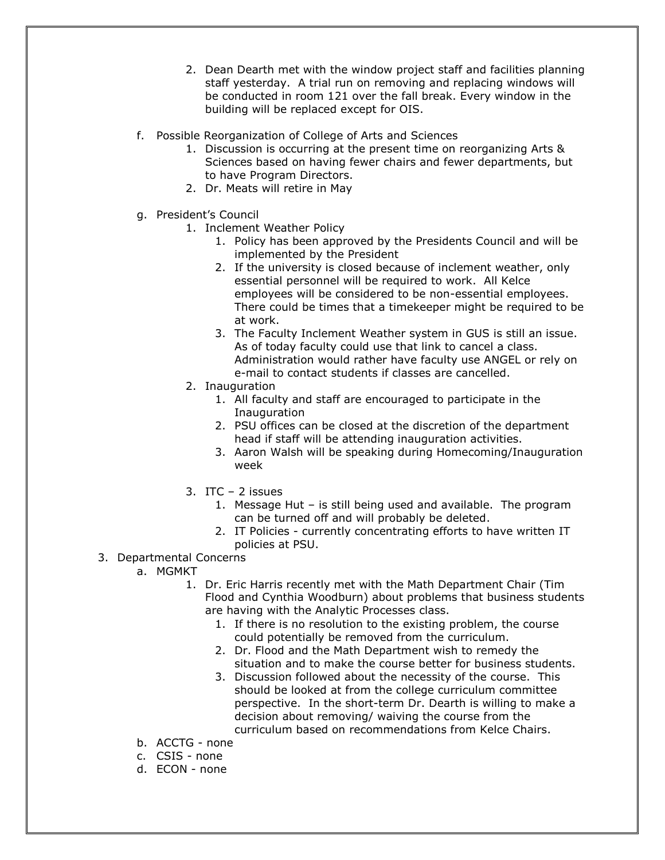- 2. Dean Dearth met with the window project staff and facilities planning staff yesterday. A trial run on removing and replacing windows will be conducted in room 121 over the fall break. Every window in the building will be replaced except for OIS.
- f. Possible Reorganization of College of Arts and Sciences
	- 1. Discussion is occurring at the present time on reorganizing Arts & Sciences based on having fewer chairs and fewer departments, but to have Program Directors.
	- 2. Dr. Meats will retire in May
- g. President's Council
	- 1. Inclement Weather Policy
		- 1. Policy has been approved by the Presidents Council and will be implemented by the President
		- 2. If the university is closed because of inclement weather, only essential personnel will be required to work. All Kelce employees will be considered to be non-essential employees. There could be times that a timekeeper might be required to be at work.
		- 3. The Faculty Inclement Weather system in GUS is still an issue. As of today faculty could use that link to cancel a class. Administration would rather have faculty use ANGEL or rely on e-mail to contact students if classes are cancelled.
	- 2. Inauguration
		- 1. All faculty and staff are encouraged to participate in the Inauguration
		- 2. PSU offices can be closed at the discretion of the department head if staff will be attending inauguration activities.
		- 3. Aaron Walsh will be speaking during Homecoming/Inauguration week
	- 3. ITC  $-2$  issues
		- 1. Message Hut is still being used and available. The program can be turned off and will probably be deleted.
		- 2. IT Policies currently concentrating efforts to have written IT policies at PSU.
- 3. Departmental Concerns
	- a. MGMKT
		- 1. Dr. Eric Harris recently met with the Math Department Chair (Tim Flood and Cynthia Woodburn) about problems that business students are having with the Analytic Processes class.
			- 1. If there is no resolution to the existing problem, the course could potentially be removed from the curriculum.
			- 2. Dr. Flood and the Math Department wish to remedy the situation and to make the course better for business students.
			- 3. Discussion followed about the necessity of the course. This should be looked at from the college curriculum committee perspective. In the short-term Dr. Dearth is willing to make a decision about removing/ waiving the course from the curriculum based on recommendations from Kelce Chairs.
	- b. ACCTG none
	- c. CSIS none
	- d. ECON none